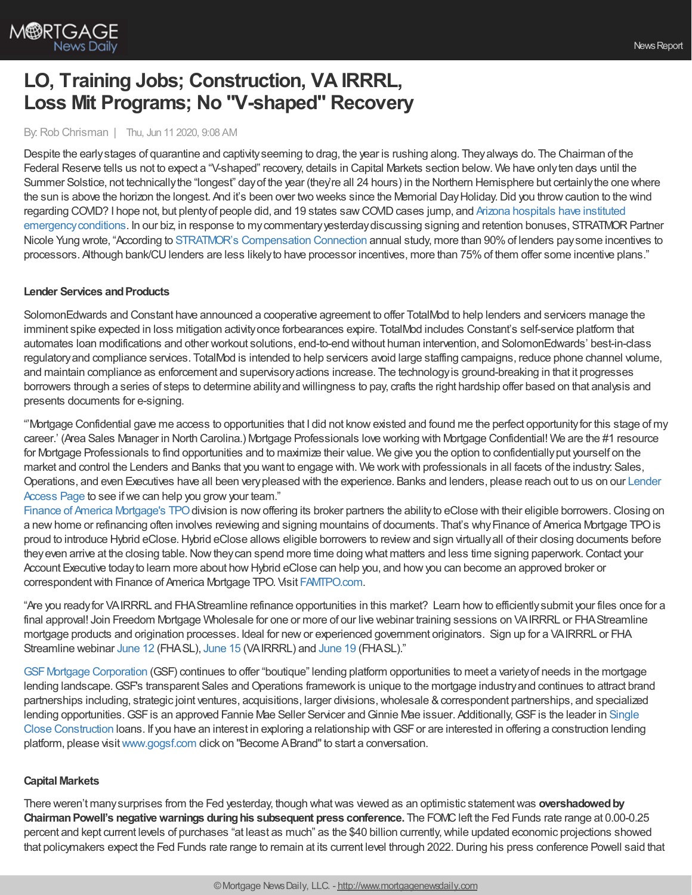

# **LO, Training Jobs; Construction, VA IRRRL, Loss Mit Programs; No "V-shaped" Recovery**

## By:Rob Chrisman | Thu, Jun 11 2020, 9:08 AM

Despite the earlystages of quarantine and captivityseeming to drag, the year is rushing along. Theyalways do. The Chairman of the Federal Reserve tells us not to expect a "V-shaped" recovery, details in Capital Markets section below. We have onlyten days until the Summer Solstice, not technicallythe "longest" dayof the year (they're all 24 hours) in the Northern Hemisphere but certainlythe one where the sun is above the horizon the longest. And it's been over two weeks since the Memorial Day Holiday. Did you throw caution to the wind regarding COVID? I hope not, but plenty of people did, and 19 states saw COVID cases jump, and Arizona hospitals have instituted emergency conditions. In our biz, in response to my commentary yesterday discussing signing and retention bonuses, STRATMOR Partner Nicole Yung wrote, "According to STRATMOR's [Compensation](https://www.stratmorgroup.com/compensation-connection/) Connection annual study, more than 90%of lenders paysome incentives to processors. Although bank/CU lenders are less likely to have processor incentives, more than 75% of them offer some incentive plans."

## **Lender Services and Products**

SolomonEdwards and Constant have announced a cooperative agreement to offer TotalMod to help lenders and servicers manage the imminent spike expected in loss mitigation activityonce forbearances expire. TotalMod includes Constant's self-service platform that automates loan modifications and other workout solutions, end-to-end without human intervention, and SolomonEdwards' best-in-class regulatoryand compliance services. TotalMod is intended to help servicers avoid large staffing campaigns, reduce phone channel volume, and maintain compliance as enforcement and supervisoryactions increase. The technologyis ground-breaking in that it progresses borrowers through a series of steps to determine abilityand willingness to pay, crafts the right hardship offer based on that analysis and presents documents for e-signing.

"'Mortgage Confidential gave me access to opportunities that I did not knowexisted and found me the perfect opportunityfor this stage of my career.' (Area Sales Manager in North Carolina.) Mortgage Professionals love working with Mortgage Confidential! We are the #1 resource for Mortgage Professionals to find opportunities and to maximize their value. We give you the option to confidentiallyput yourself on the market and control the Lenders and Banks that you want to engage with. We workwith professionals in all facets of the industry: Sales, Operations, and even Executives have all been [verypleased](https://mortgage-confidential.com/home/lender-access/) with the experience. Banks and lenders, please reach out to us on our Lender Access Page to see if we can help you grow your team."

Finance of America [Mortgage's](https://www.famtpo.com/) TPO division is now offering its broker partners the ability to eClose with their eligible borrowers. Closing on a newhome or refinancing often involves reviewing and signing mountains of documents. That's whyFinance of America Mortgage TPOis proud to introduce Hybrid eClose.Hybrid eClose allows eligible borrowers to reviewand sign virtuallyall of their closing documents before they even arrive at the closing table. Now they can spend more time doing what matters and less time signing paperwork. Contact your Account Executive todayto learn more about howHybrid eClose can help you, and howyou can become an approved broker or correspondent with Finance of America Mortgage TPO. Visit [FAMTPO.com](https://www.famtpo.com/).

"Are you readyfor VAIRRRL and FHAStreamline refinance opportunities in this market? Learn howto efficientlysubmit your files once for a final approval! Join Freedom Mortgage Wholesale for one or more of our live webinar training sessions on VAIRRRL or FHAStreamline mortgage products and origination processes. Ideal for newor experienced government originators. Sign up for a VAIRRRL or FHA Streamline webinar [June](https://freedom.zoom.us/meeting/register/tJYodeygqT8pEt3_vhXPZwC0KrqjKvcWQHPU) 12 (FHASL), [June](https://freedom.zoom.us/meeting/register/tJMpceyprD4jGNN7E8L5uoQ7tgR8SC7BNoxK) 15 (VAIRRRL) and [June](https://freedom.zoom.us/meeting/register/tJYsduGgpj4oGNLrqZ67CUcrWXCUbZ0-GD5n) 19 (FHASL)."

[GSFMortgage](https://www.gogsf.com/) Corporation (GSF) continues to offer "boutique" lending platform opportunities to meet a varietyof needs in the mortgage lending landscape. GSF's transparent Sales and Operations framework is unique to the mortgage industry and continues to attract brand partnerships including, strategic joint ventures, acquisitions, larger divisions, wholesale & correspondent partnerships, and specialized lending opportunities. GSF is an approved Fannie Mae Seller Servicer and Ginnie Mae issuer. Additionally, GSF is the leader in Single Close Construction loans. If you have an interest in exploring a relationship with GSF or are interested in offering a construction lending platform, please visit[www.gogsf.com](http://www.gogsf.com/) click on "Become ABrand"to start a conversation.

## **Capital Markets**

There weren't many surprises from the Fed yesterday, though what was viewed as an optimistic statement was **overshadowed by ChairmanPowell's negativewarnings duringhis subsequent press conference.** The FOMCleft the Fed Funds rate range at 0.00-0.25 percent and kept current levels of purchases "at least as much" as the \$40 billion currently,while updated economic projections showed that policymakers expect the Fed Funds rate range to remain at its current level through 2022. During his press conference Powell said that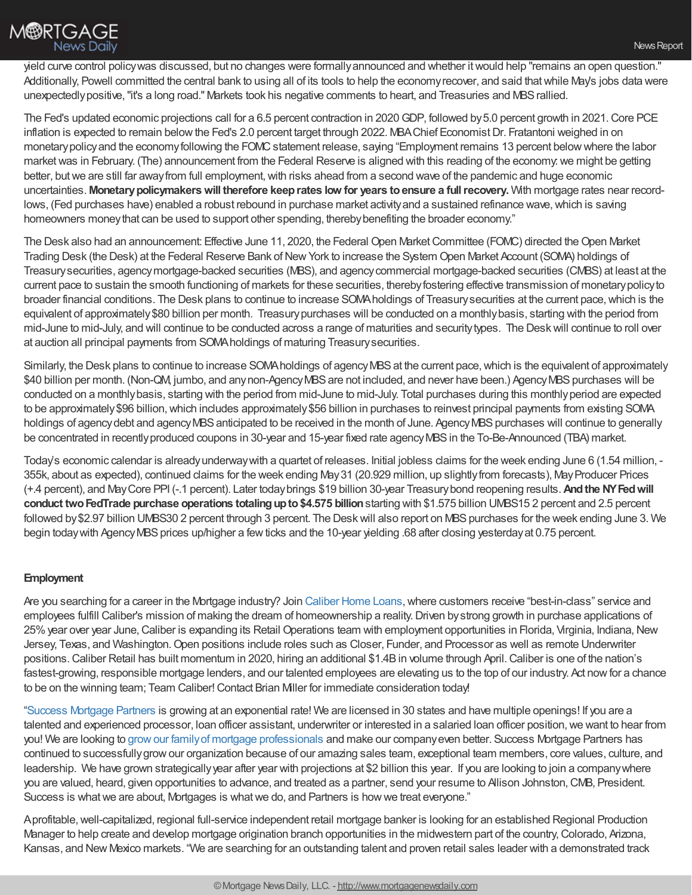

yield curve control policywas discussed, but no changes were formallyannounced and whether itwould help "remains an open question." Additionally, Powell committed the central bank to using all of its tools to help the economy recover, and said that while May's jobs data were unexpectedlypositive,"it's a long road." Markets took his negative comments to heart, and Treasuries and MBSrallied.

The Fed's updated economic projections call for a 6.5 percent contraction in 2020GDP, followed by5.0 percent growth in 2021.Core PCE inflation is expected to remain belowthe Fed's 2.0 percent target through 2022. MBAChief EconomistDr. Fratantoni weighed in on monetary policy and the economy following the FOMC statement release, saying "Employment remains 13 percent below where the labor market was in February. (The) announcement from the Federal Reserve is aligned with this reading of the economy: we might be getting better, butwe are still far awayfrom full employment,with risks ahead from a second wave of the pandemic and huge economic uncertainties. **Monetarypolicymakerswill therefore keeprates low for years toensure a fullrecovery.** With mortgage rates near recordlows, (Fed purchases have) enabled a robust rebound in purchase market activity and a sustained refinance wave, which is saving homeowners money that can be used to support other spending, thereby benefiting the broader economy."

The Desk also had an announcement: Effective June 11, 2020, the Federal Open Market Committee (FOMC) directed the Open Market Trading Desk (the Desk) at the Federal Reserve Bank of New York to increase the System Open Market Account (SOMA) holdings of Treasurysecurities, agencymortgage-backed securities (MBS), and agencycommercial mortgage-backed securities (CMBS) at least at the current pace to sustain the smooth functioning of markets for these securities, therebyfostering effective transmission of monetarypolicyto broader financial conditions. The Desk plans to continue to increase SOMA holdings of Treasury securities at the current pace, which is the equivalent of approximately\$80 billion per month. Treasurypurchases will be conducted on a monthlybasis, starting with the period from mid-June to mid-July, and will continue to be conducted across a range of maturities and securitytypes. The Deskwill continue to roll over at auction all principal payments from SOMAholdings of maturing Treasurysecurities.

Similarly, the Desk plans to continue to increase SOMA holdings of agency MBS at the current pace, which is the equivalent of approximately \$40 billion per month. (Non-QM, jumbo, and any non-Agency MBS are not included, and never have been.) Agency MBS purchases will be conducted on a monthlybasis, starting with the period from mid-June to mid-July. Total purchases during this monthlyperiod are expected to be approximately \$96 billion, which includes approximately \$56 billion in purchases to reinvest principal payments from existing SOMA holdings of agency debt and agency MBS anticipated to be received in the month of June. Agency MBS purchases will continue to generally be concentrated in recentlyproduced coupons in 30-year and 15-year fixed rate agencyMBSin the To-Be-Announced (TBA) market.

Today's economic calendar is alreadyunderwaywith a quartet of releases. Initial jobless claims for the week ending June 6 (1.54 million, - 355k, about as expected), continued claims for the week ending May31 (20.929 million, up slightlyfrom forecasts), MayProducer Prices (+.4 percent), and MayCore PPI (-.1 percent). Later todaybrings \$19 billion 30-year Treasurybond reopening results.**Andthe NYFedwill conduct twoFedTrade purchase operations totalingupto\$4.575 billion**starting with \$1.575 billion UMBS15 2 percent and 2.5 percent followed by \$2.97 billion UMBS30 2 percent through 3 percent. The Desk will also report on MBS purchases for the week ending June 3. We begin today with Agency MBS prices up/higher a few ticks and the 10-year yielding .68 after closing yesterday at 0.75 percent.

## **Employment**

Are you searching for a career in the Mortgage industry? Join [Caliber](https://www.joincalibernow.com/) Home Loans, where customers receive "best-in-class" service and employees fulfill Caliber's mission of making the dream of homeownership a reality.Driven bystrong growth in purchase applications of 25% year over year June, Caliber is expanding its Retail Operations team with employment opportunities in Florida, Virginia, Indiana, New Jersey, Texas, and Washington.Open positions include roles such as Closer, Funder, and Processor as well as remote Underwriter positions.Caliber Retail has built momentum in 2020, hiring an additional \$1.4Bin volume through April.Caliber is one of the nation's fastest-growing, responsible mortgage lenders, and our talented employees are elevating us to the top of our industry. Act now for a chance to be on the winning team; Team Caliber! Contact Brian Miller for immediate consideration today!

"Success [Mortgage](https://www.successmortgagepartners.com/) Partners is growing at an exponential rate! We are licensed in 30 states and have multiple openings! If you are a talented and experienced processor, loan officer assistant, underwriter or interested in a salaried loan officer position,we want to hear from you! We are looking to growour familyof mortgage [professionals](https://www.successmortgagepartners.com/join-our-team/) and make our companyeven better. Success Mortgage Partners has continued to successfullygrowour organization because of our amazing sales team, exceptional team members, core values, culture, and leadership. We have grown strategicallyyear after year with projections at \$2 billion this year. If you are looking to join a companywhere you are valued, heard, given opportunities to advance, and treated as a partner, send your resume to Allison Johnston,CMB, President. Success is what we are about, Mortgages is what we do, and Partners is how we treat everyone."

Aprofitable,well-capitalized, regional full-service independent retail mortgage banker is looking for an established Regional Production Manager to help create and develop mortgage origination branch opportunities in the midwestern part of the country,Colorado, Arizona, Kansas, and New Mexico markets. "We are searching for an outstanding talent and proven retail sales leader with a demonstrated track